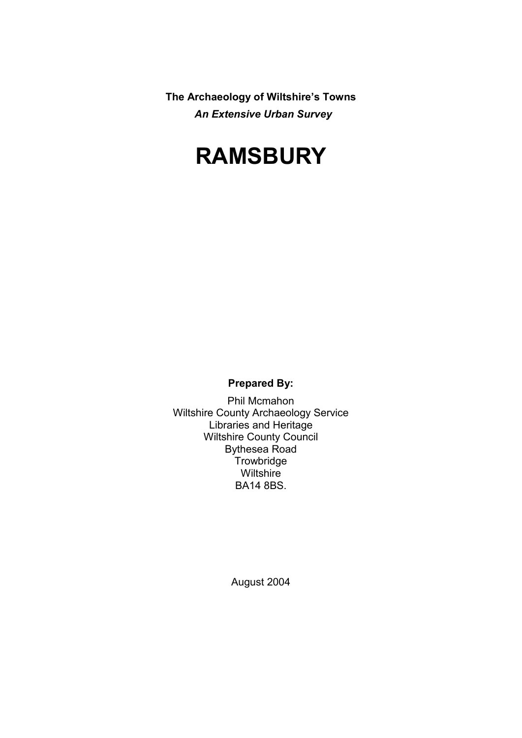**The Archaeology of Wiltshire's Towns** *An Extensive Urban Survey*

# **RAMSBURY**

**Prepared By:** 

Phil Mcmahon Wiltshire County Archaeology Service Libraries and Heritage Wiltshire County Council Bythesea Road **Trowbridge Wiltshire** BA14 8BS.

August 2004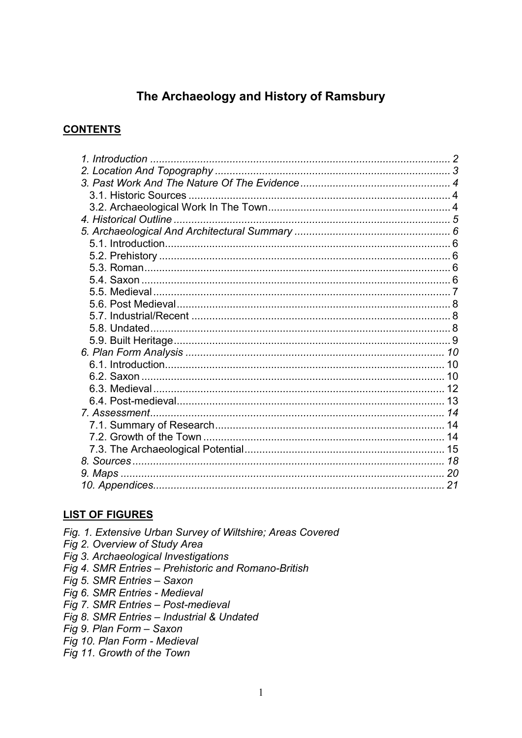# The Archaeology and History of Ramsbury

#### **CONTENTS**

#### **LIST OF FIGURES**

Fig. 1. Extensive Urban Survey of Wiltshire; Areas Covered Fig 2. Overview of Study Area Fig 3. Archaeological Investigations Fig 4. SMR Entries - Prehistoric and Romano-British Fig 5. SMR Entries - Saxon Fig 6. SMR Entries - Medieval Fig 7. SMR Entries - Post-medieval Fig 8. SMR Entries - Industrial & Undated Fig 9. Plan Form - Saxon Fig 10. Plan Form - Medieval

Fig 11. Growth of the Town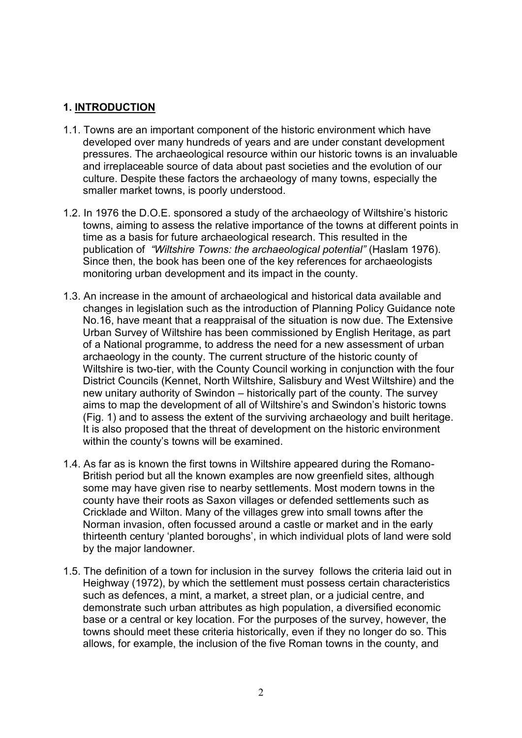## **1. INTRODUCTION**

- 1.1. Towns are an important component of the historic environment which have developed over many hundreds of years and are under constant development pressures. The archaeological resource within our historic towns is an invaluable and irreplaceable source of data about past societies and the evolution of our culture. Despite these factors the archaeology of many towns, especially the smaller market towns, is poorly understood.
- 1.2. In 1976 the D.O.E. sponsored a study of the archaeology of Wiltshire's historic towns, aiming to assess the relative importance of the towns at different points in time as a basis for future archaeological research. This resulted in the publication of *"Wiltshire Towns: the archaeological potential"* (Haslam 1976). Since then, the book has been one of the key references for archaeologists monitoring urban development and its impact in the county.
- 1.3. An increase in the amount of archaeological and historical data available and changes in legislation such as the introduction of Planning Policy Guidance note No.16, have meant that a reappraisal of the situation is now due. The Extensive Urban Survey of Wiltshire has been commissioned by English Heritage, as part of a National programme, to address the need for a new assessment of urban archaeology in the county. The current structure of the historic county of Wiltshire is two-tier, with the County Council working in conjunction with the four District Councils (Kennet, North Wiltshire, Salisbury and West Wiltshire) and the new unitary authority of Swindon – historically part of the county. The survey aims to map the development of all of Wiltshire's and Swindon's historic towns (Fig. 1) and to assess the extent of the surviving archaeology and built heritage. It is also proposed that the threat of development on the historic environment within the county's towns will be examined.
- 1.4. As far as is known the first towns in Wiltshire appeared during the Romano-British period but all the known examples are now greenfield sites, although some may have given rise to nearby settlements. Most modern towns in the county have their roots as Saxon villages or defended settlements such as Cricklade and Wilton. Many of the villages grew into small towns after the Norman invasion, often focussed around a castle or market and in the early thirteenth century 'planted boroughs', in which individual plots of land were sold by the major landowner.
- 1.5. The definition of a town for inclusion in the survey follows the criteria laid out in Heighway (1972), by which the settlement must possess certain characteristics such as defences, a mint, a market, a street plan, or a judicial centre, and demonstrate such urban attributes as high population, a diversified economic base or a central or key location. For the purposes of the survey, however, the towns should meet these criteria historically, even if they no longer do so. This allows, for example, the inclusion of the five Roman towns in the county, and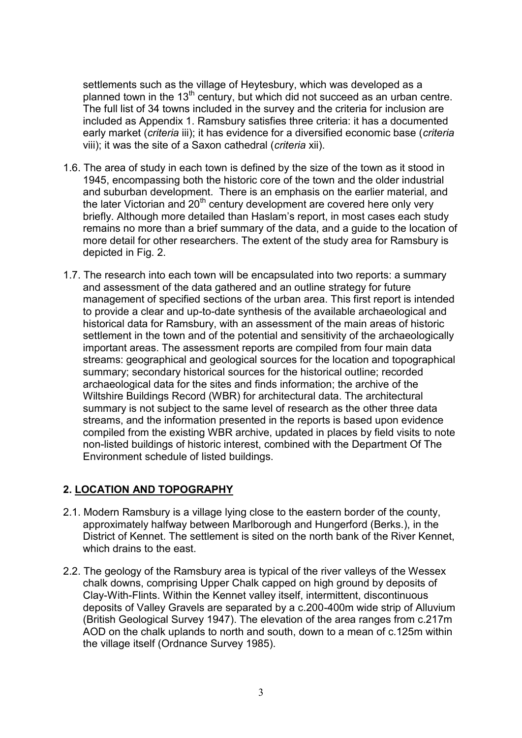settlements such as the village of Heytesbury, which was developed as a planned town in the  $13<sup>th</sup>$  century, but which did not succeed as an urban centre. The full list of 34 towns included in the survey and the criteria for inclusion are included as Appendix 1. Ramsbury satisfies three criteria: it has a documented early market (*criteria* iii); it has evidence for a diversified economic base (*criteria* viii); it was the site of a Saxon cathedral (*criteria* xii).

- 1.6. The area of study in each town is defined by the size of the town as it stood in 1945, encompassing both the historic core of the town and the older industrial and suburban development. There is an emphasis on the earlier material, and the later Victorian and 20<sup>th</sup> century development are covered here only very briefly. Although more detailed than Haslam's report, in most cases each study remains no more than a brief summary of the data, and a guide to the location of more detail for other researchers. The extent of the study area for Ramsbury is depicted in Fig. 2.
- 1.7. The research into each town will be encapsulated into two reports: a summary and assessment of the data gathered and an outline strategy for future management of specified sections of the urban area. This first report is intended to provide a clear and up-to-date synthesis of the available archaeological and historical data for Ramsbury, with an assessment of the main areas of historic settlement in the town and of the potential and sensitivity of the archaeologically important areas. The assessment reports are compiled from four main data streams: geographical and geological sources for the location and topographical summary; secondary historical sources for the historical outline; recorded archaeological data for the sites and finds information; the archive of the Wiltshire Buildings Record (WBR) for architectural data. The architectural summary is not subject to the same level of research as the other three data streams, and the information presented in the reports is based upon evidence compiled from the existing WBR archive, updated in places by field visits to note non-listed buildings of historic interest, combined with the Department Of The Environment schedule of listed buildings.

# **2. LOCATION AND TOPOGRAPHY**

- 2.1. Modern Ramsbury is a village lying close to the eastern border of the county, approximately halfway between Marlborough and Hungerford (Berks.), in the District of Kennet. The settlement is sited on the north bank of the River Kennet, which drains to the east.
- 2.2. The geology of the Ramsbury area is typical of the river valleys of the Wessex chalk downs, comprising Upper Chalk capped on high ground by deposits of Clay-With-Flints. Within the Kennet valley itself, intermittent, discontinuous deposits of Valley Gravels are separated by a c.200-400m wide strip of Alluvium (British Geological Survey 1947). The elevation of the area ranges from c.217m AOD on the chalk uplands to north and south, down to a mean of c.125m within the village itself (Ordnance Survey 1985).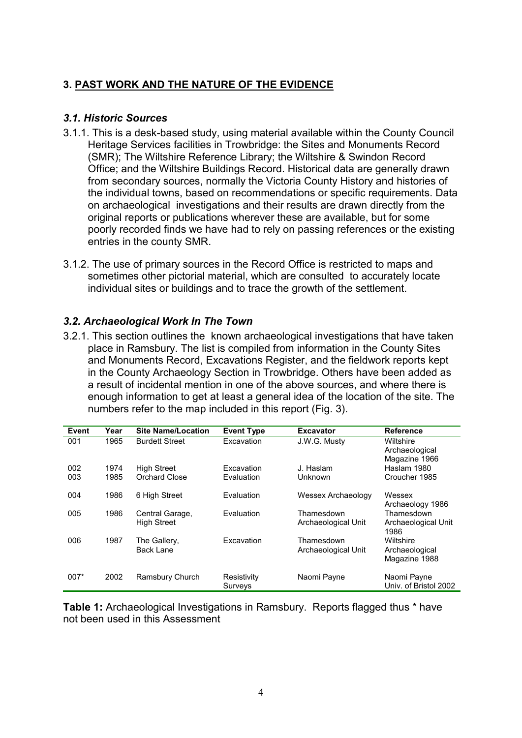# **3. PAST WORK AND THE NATURE OF THE EVIDENCE**

#### *3.1. Historic Sources*

- 3.1.1. This is a desk-based study, using material available within the County Council Heritage Services facilities in Trowbridge: the Sites and Monuments Record (SMR); The Wiltshire Reference Library; the Wiltshire & Swindon Record Office; and the Wiltshire Buildings Record. Historical data are generally drawn from secondary sources, normally the Victoria County History and histories of the individual towns, based on recommendations or specific requirements. Data on archaeological investigations and their results are drawn directly from the original reports or publications wherever these are available, but for some poorly recorded finds we have had to rely on passing references or the existing entries in the county SMR.
- 3.1.2. The use of primary sources in the Record Office is restricted to maps and sometimes other pictorial material, which are consulted to accurately locate individual sites or buildings and to trace the growth of the settlement.

#### *3.2. Archaeological Work In The Town*

3.2.1. This section outlines the known archaeological investigations that have taken place in Ramsbury. The list is compiled from information in the County Sites and Monuments Record, Excavations Register, and the fieldwork reports kept in the County Archaeology Section in Trowbridge. Others have been added as a result of incidental mention in one of the above sources, and where there is enough information to get at least a general idea of the location of the site. The numbers refer to the map included in this report (Fig. 3).

| <b>Event</b> | Year | <b>Site Name/Location</b>             | <b>Event Type</b>      | <b>Excavator</b>                  | <b>Reference</b>                             |
|--------------|------|---------------------------------------|------------------------|-----------------------------------|----------------------------------------------|
| 001          | 1965 | <b>Burdett Street</b>                 | Excavation             | J.W.G. Musty                      | Wiltshire<br>Archaeological<br>Magazine 1966 |
| 002          | 1974 | <b>High Street</b>                    | Excavation             | J. Haslam                         | Haslam 1980                                  |
| 003          | 1985 | Orchard Close                         | Evaluation             | Unknown                           | Croucher 1985                                |
| 004          | 1986 | 6 High Street                         | Evaluation             | Wessex Archaeology                | Wessex<br>Archaeology 1986                   |
| 005          | 1986 | Central Garage,<br><b>High Street</b> | Evaluation             | Thamesdown<br>Archaeological Unit | Thamesdown<br>Archaeological Unit<br>1986    |
| 006          | 1987 | The Gallery,<br><b>Back Lane</b>      | Excavation             | Thamesdown<br>Archaeological Unit | Wiltshire<br>Archaeological<br>Magazine 1988 |
| $007*$       | 2002 | Ramsbury Church                       | Resistivity<br>Surveys | Naomi Payne                       | Naomi Payne<br>Univ. of Bristol 2002         |

**Table 1:** Archaeological Investigations in Ramsbury. Reports flagged thus \* have not been used in this Assessment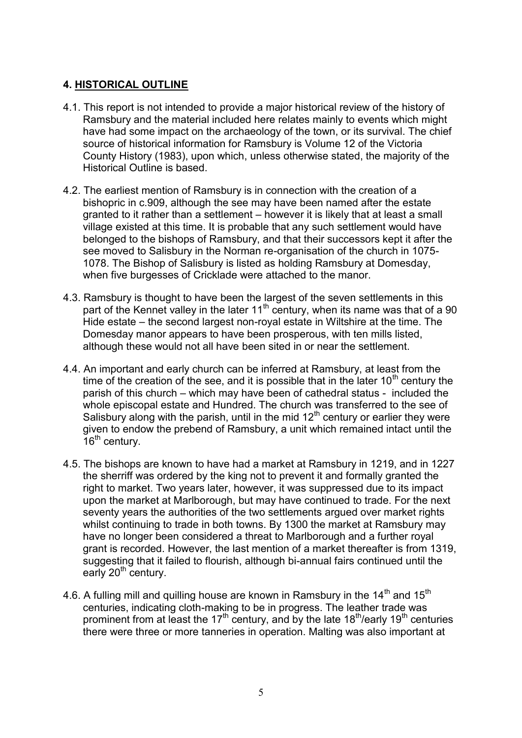# **4. HISTORICAL OUTLINE**

- 4.1. This report is not intended to provide a major historical review of the history of Ramsbury and the material included here relates mainly to events which might have had some impact on the archaeology of the town, or its survival. The chief source of historical information for Ramsbury is Volume 12 of the Victoria County History (1983), upon which, unless otherwise stated, the majority of the Historical Outline is based.
- 4.2. The earliest mention of Ramsbury is in connection with the creation of a bishopric in c.909, although the see may have been named after the estate granted to it rather than a settlement – however it is likely that at least a small village existed at this time. It is probable that any such settlement would have belonged to the bishops of Ramsbury, and that their successors kept it after the see moved to Salisbury in the Norman re-organisation of the church in 1075- 1078. The Bishop of Salisbury is listed as holding Ramsbury at Domesday, when five burgesses of Cricklade were attached to the manor.
- 4.3. Ramsbury is thought to have been the largest of the seven settlements in this part of the Kennet valley in the later  $11<sup>th</sup>$  century, when its name was that of a 90 Hide estate – the second largest non-royal estate in Wiltshire at the time. The Domesday manor appears to have been prosperous, with ten mills listed, although these would not all have been sited in or near the settlement.
- 4.4. An important and early church can be inferred at Ramsbury, at least from the time of the creation of the see, and it is possible that in the later  $10<sup>th</sup>$  century the parish of this church – which may have been of cathedral status - included the whole episcopal estate and Hundred. The church was transferred to the see of Salisbury along with the parish, until in the mid  $12<sup>th</sup>$  century or earlier they were given to endow the prebend of Ramsbury, a unit which remained intact until the  $16<sup>th</sup>$  century.
- 4.5. The bishops are known to have had a market at Ramsbury in 1219, and in 1227 the sherriff was ordered by the king not to prevent it and formally granted the right to market. Two years later, however, it was suppressed due to its impact upon the market at Marlborough, but may have continued to trade. For the next seventy years the authorities of the two settlements argued over market rights whilst continuing to trade in both towns. By 1300 the market at Ramsbury may have no longer been considered a threat to Marlborough and a further royal grant is recorded. However, the last mention of a market thereafter is from 1319, suggesting that it failed to flourish, although bi-annual fairs continued until the early 20<sup>th</sup> century.
- 4.6. A fulling mill and quilling house are known in Ramsbury in the  $14<sup>th</sup>$  and  $15<sup>th</sup>$ centuries, indicating cloth-making to be in progress. The leather trade was prominent from at least the 17<sup>th</sup> century, and by the late 18<sup>th</sup>/early 19<sup>th</sup> centuries there were three or more tanneries in operation. Malting was also important at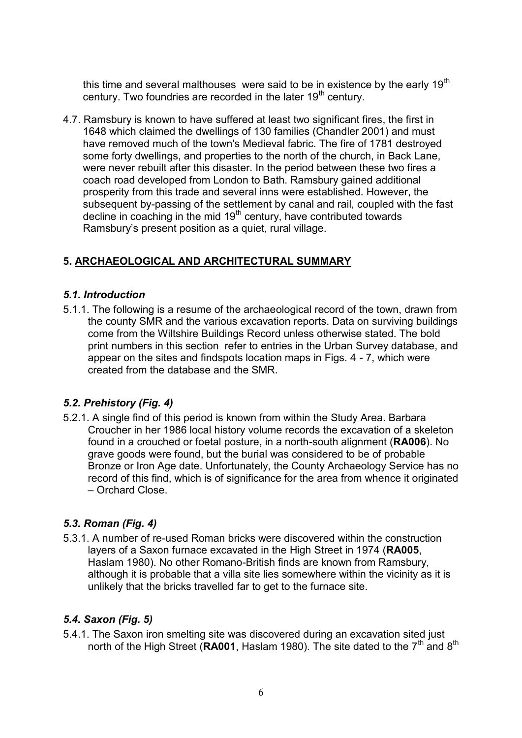this time and several malthouses were said to be in existence by the early  $19<sup>th</sup>$ century. Two foundries are recorded in the later  $19<sup>th</sup>$  century.

4.7. Ramsbury is known to have suffered at least two significant fires, the first in 1648 which claimed the dwellings of 130 families (Chandler 2001) and must have removed much of the town's Medieval fabric. The fire of 1781 destroyed some forty dwellings, and properties to the north of the church, in Back Lane, were never rebuilt after this disaster. In the period between these two fires a coach road developed from London to Bath. Ramsbury gained additional prosperity from this trade and several inns were established. However, the subsequent by-passing of the settlement by canal and rail, coupled with the fast decline in coaching in the mid 19<sup>th</sup> century, have contributed towards Ramsbury's present position as a quiet, rural village.

# **5. ARCHAEOLOGICAL AND ARCHITECTURAL SUMMARY**

#### *5.1. Introduction*

5.1.1. The following is a resume of the archaeological record of the town, drawn from the county SMR and the various excavation reports. Data on surviving buildings come from the Wiltshire Buildings Record unless otherwise stated. The bold print numbers in this section refer to entries in the Urban Survey database, and appear on the sites and findspots location maps in Figs. 4 - 7, which were created from the database and the SMR.

# *5.2. Prehistory (Fig. 4)*

5.2.1. A single find of this period is known from within the Study Area. Barbara Croucher in her 1986 local history volume records the excavation of a skeleton found in a crouched or foetal posture, in a north-south alignment (**RA006**). No grave goods were found, but the burial was considered to be of probable Bronze or Iron Age date. Unfortunately, the County Archaeology Service has no record of this find, which is of significance for the area from whence it originated – Orchard Close.

# *5.3. Roman (Fig. 4)*

5.3.1. A number of re-used Roman bricks were discovered within the construction layers of a Saxon furnace excavated in the High Street in 1974 (**RA005**, Haslam 1980). No other Romano-British finds are known from Ramsbury, although it is probable that a villa site lies somewhere within the vicinity as it is unlikely that the bricks travelled far to get to the furnace site.

# *5.4. Saxon (Fig. 5)*

5.4.1. The Saxon iron smelting site was discovered during an excavation sited just north of the High Street (RA001, Haslam 1980). The site dated to the 7<sup>th</sup> and 8<sup>th</sup>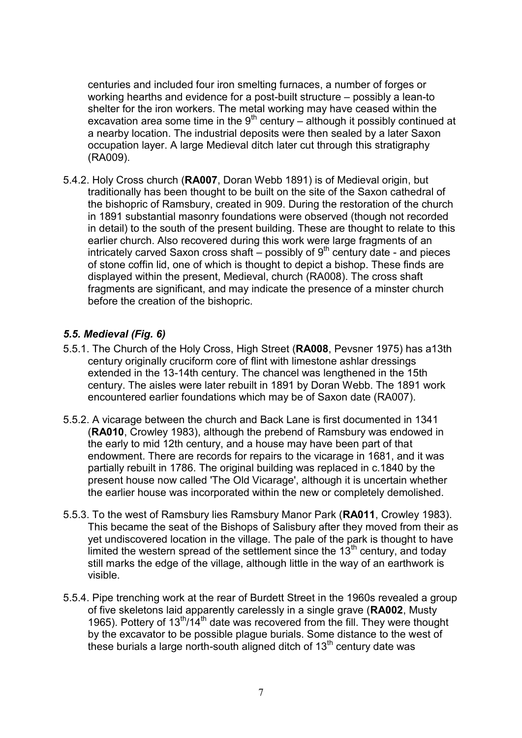centuries and included four iron smelting furnaces, a number of forges or working hearths and evidence for a post-built structure – possibly a lean-to shelter for the iron workers. The metal working may have ceased within the excavation area some time in the  $9<sup>th</sup>$  century – although it possibly continued at a nearby location. The industrial deposits were then sealed by a later Saxon occupation layer. A large Medieval ditch later cut through this stratigraphy (RA009).

5.4.2. Holy Cross church (**RA007**, Doran Webb 1891) is of Medieval origin, but traditionally has been thought to be built on the site of the Saxon cathedral of the bishopric of Ramsbury, created in 909. During the restoration of the church in 1891 substantial masonry foundations were observed (though not recorded in detail) to the south of the present building. These are thought to relate to this earlier church. Also recovered during this work were large fragments of an intricately carved Saxon cross shaft – possibly of  $9<sup>th</sup>$  century date - and pieces of stone coffin lid, one of which is thought to depict a bishop. These finds are displayed within the present, Medieval, church (RA008). The cross shaft fragments are significant, and may indicate the presence of a minster church before the creation of the bishopric.

#### *5.5. Medieval (Fig. 6)*

- 5.5.1. The Church of the Holy Cross, High Street (**RA008**, Pevsner 1975) has a13th century originally cruciform core of flint with limestone ashlar dressings extended in the 13-14th century. The chancel was lengthened in the 15th century. The aisles were later rebuilt in 1891 by Doran Webb. The 1891 work encountered earlier foundations which may be of Saxon date (RA007).
- 5.5.2. A vicarage between the church and Back Lane is first documented in 1341 (**RA010**, Crowley 1983), although the prebend of Ramsbury was endowed in the early to mid 12th century, and a house may have been part of that endowment. There are records for repairs to the vicarage in 1681, and it was partially rebuilt in 1786. The original building was replaced in c.1840 by the present house now called 'The Old Vicarage', although it is uncertain whether the earlier house was incorporated within the new or completely demolished.
- 5.5.3. To the west of Ramsbury lies Ramsbury Manor Park (**RA011**, Crowley 1983). This became the seat of the Bishops of Salisbury after they moved from their as yet undiscovered location in the village. The pale of the park is thought to have limited the western spread of the settlement since the  $13<sup>th</sup>$  century, and today still marks the edge of the village, although little in the way of an earthwork is visible.
- 5.5.4. Pipe trenching work at the rear of Burdett Street in the 1960s revealed a group of five skeletons laid apparently carelessly in a single grave (**RA002**, Musty 1965). Pottery of  $13^{\text{th}}/14^{\text{th}}$  date was recovered from the fill. They were thought by the excavator to be possible plague burials. Some distance to the west of these burials a large north-south aligned ditch of  $13<sup>th</sup>$  century date was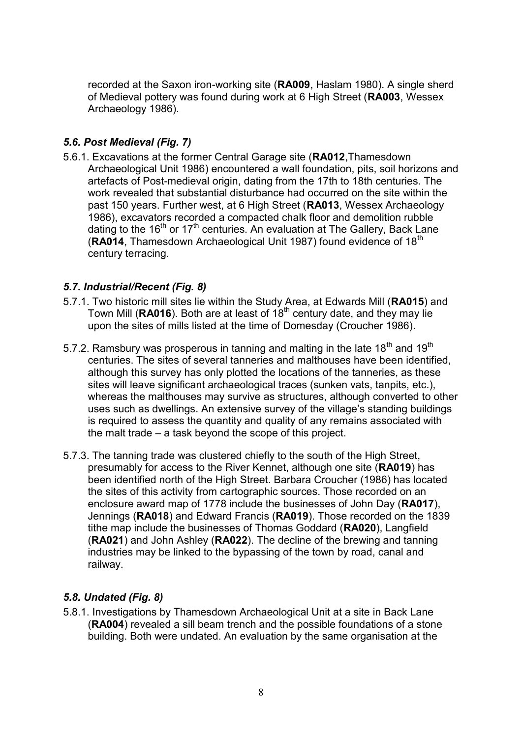recorded at the Saxon iron-working site (**RA009**, Haslam 1980). A single sherd of Medieval pottery was found during work at 6 High Street (**RA003**, Wessex Archaeology 1986).

# *5.6. Post Medieval (Fig. 7)*

5.6.1. Excavations at the former Central Garage site (**RA012**,Thamesdown Archaeological Unit 1986) encountered a wall foundation, pits, soil horizons and artefacts of Post-medieval origin, dating from the 17th to 18th centuries. The work revealed that substantial disturbance had occurred on the site within the past 150 years. Further west, at 6 High Street (**RA013**, Wessex Archaeology 1986), excavators recorded a compacted chalk floor and demolition rubble dating to the 16<sup>th</sup> or 17<sup>th</sup> centuries. An evaluation at The Gallery, Back Lane (RA014, Thamesdown Archaeological Unit 1987) found evidence of 18<sup>th</sup> century terracing.

# *5.7. Industrial/Recent (Fig. 8)*

- 5.7.1. Two historic mill sites lie within the Study Area, at Edwards Mill (**RA015**) and Town Mill (RA016). Both are at least of 18<sup>th</sup> century date, and they may lie upon the sites of mills listed at the time of Domesday (Croucher 1986).
- 5.7.2. Ramsbury was prosperous in tanning and malting in the late 18<sup>th</sup> and 19<sup>th</sup> centuries. The sites of several tanneries and malthouses have been identified, although this survey has only plotted the locations of the tanneries, as these sites will leave significant archaeological traces (sunken vats, tanpits, etc.), whereas the malthouses may survive as structures, although converted to other uses such as dwellings. An extensive survey of the village's standing buildings is required to assess the quantity and quality of any remains associated with the malt trade – a task beyond the scope of this project.
- 5.7.3. The tanning trade was clustered chiefly to the south of the High Street, presumably for access to the River Kennet, although one site (**RA019**) has been identified north of the High Street. Barbara Croucher (1986) has located the sites of this activity from cartographic sources. Those recorded on an enclosure award map of 1778 include the businesses of John Day (**RA017**), Jennings (**RA018**) and Edward Francis (**RA019**). Those recorded on the 1839 tithe map include the businesses of Thomas Goddard (**RA020**), Langfield (**RA021**) and John Ashley (**RA022**). The decline of the brewing and tanning industries may be linked to the bypassing of the town by road, canal and railway.

# *5.8. Undated (Fig. 8)*

5.8.1. Investigations by Thamesdown Archaeological Unit at a site in Back Lane (**RA004**) revealed a sill beam trench and the possible foundations of a stone building. Both were undated. An evaluation by the same organisation at the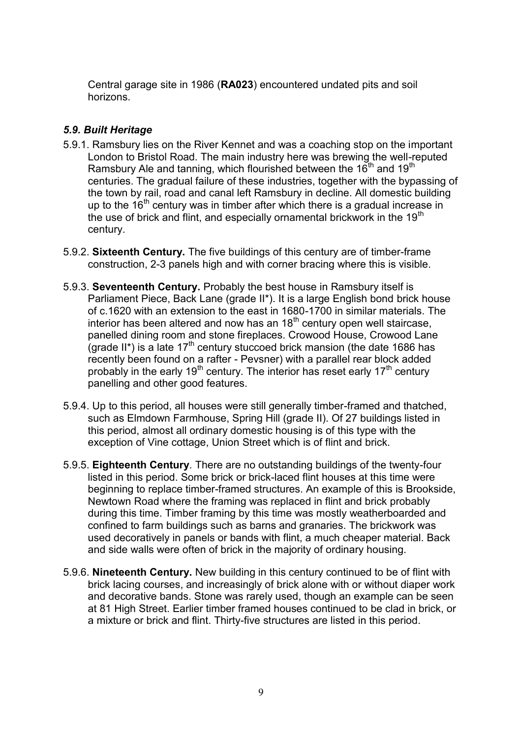Central garage site in 1986 (**RA023**) encountered undated pits and soil horizons.

## *5.9. Built Heritage*

- 5.9.1. Ramsbury lies on the River Kennet and was a coaching stop on the important London to Bristol Road. The main industry here was brewing the well-reputed Ramsbury Ale and tanning, which flourished between the  $16<sup>th</sup>$  and  $19<sup>th</sup>$ centuries. The gradual failure of these industries, together with the bypassing of the town by rail, road and canal left Ramsbury in decline. All domestic building up to the  $16<sup>th</sup>$  century was in timber after which there is a gradual increase in the use of brick and flint, and especially ornamental brickwork in the 19<sup>th</sup> century.
- 5.9.2. **Sixteenth Century.** The five buildings of this century are of timber-frame construction, 2-3 panels high and with corner bracing where this is visible.
- 5.9.3. **Seventeenth Century.** Probably the best house in Ramsbury itself is Parliament Piece, Back Lane (grade II\*). It is a large English bond brick house of c.1620 with an extension to the east in 1680-1700 in similar materials. The interior has been altered and now has an  $18<sup>th</sup>$  century open well staircase, panelled dining room and stone fireplaces. Crowood House, Crowood Lane (grade II<sup>\*</sup>) is a late 17<sup>th</sup> century stuccoed brick mansion (the date 1686 has recently been found on a rafter - Pevsner) with a parallel rear block added probably in the early 19<sup>th</sup> century. The interior has reset early 17<sup>th</sup> century panelling and other good features.
- 5.9.4. Up to this period, all houses were still generally timber-framed and thatched, such as Elmdown Farmhouse, Spring Hill (grade II). Of 27 buildings listed in this period, almost all ordinary domestic housing is of this type with the exception of Vine cottage, Union Street which is of flint and brick.
- 5.9.5. **Eighteenth Century**. There are no outstanding buildings of the twenty-four listed in this period. Some brick or brick-laced flint houses at this time were beginning to replace timber-framed structures. An example of this is Brookside, Newtown Road where the framing was replaced in flint and brick probably during this time. Timber framing by this time was mostly weatherboarded and confined to farm buildings such as barns and granaries. The brickwork was used decoratively in panels or bands with flint, a much cheaper material. Back and side walls were often of brick in the majority of ordinary housing.
- 5.9.6. **Nineteenth Century.** New building in this century continued to be of flint with brick lacing courses, and increasingly of brick alone with or without diaper work and decorative bands. Stone was rarely used, though an example can be seen at 81 High Street. Earlier timber framed houses continued to be clad in brick, or a mixture or brick and flint. Thirty-five structures are listed in this period.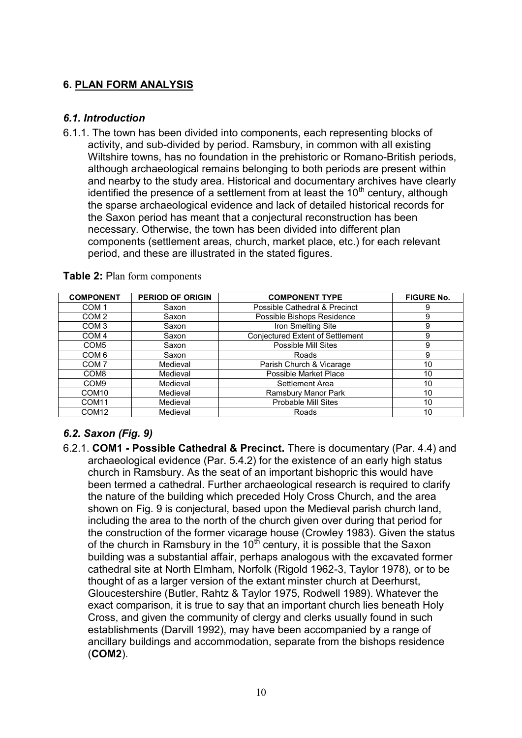# **6. PLAN FORM ANALYSIS**

## *6.1. Introduction*

6.1.1. The town has been divided into components, each representing blocks of activity, and sub-divided by period. Ramsbury, in common with all existing Wiltshire towns, has no foundation in the prehistoric or Romano-British periods, although archaeological remains belonging to both periods are present within and nearby to the study area. Historical and documentary archives have clearly identified the presence of a settlement from at least the  $10<sup>th</sup>$  century, although the sparse archaeological evidence and lack of detailed historical records for the Saxon period has meant that a conjectural reconstruction has been necessary. Otherwise, the town has been divided into different plan components (settlement areas, church, market place, etc.) for each relevant period, and these are illustrated in the stated figures.

| <b>COMPONENT</b>  | <b>PERIOD OF ORIGIN</b> | <b>COMPONENT TYPE</b>            | <b>FIGURE No.</b> |
|-------------------|-------------------------|----------------------------------|-------------------|
| COM <sub>1</sub>  | Saxon                   | Possible Cathedral & Precinct    | 9                 |
| COM <sub>2</sub>  | Saxon                   | Possible Bishops Residence       | 9                 |
| COM <sub>3</sub>  | Saxon                   | Iron Smelting Site               | 9                 |
| COM <sub>4</sub>  | Saxon                   | Conjectured Extent of Settlement | 9                 |
| COM <sub>5</sub>  | Saxon                   | Possible Mill Sites              | 9                 |
| COM <sub>6</sub>  | Saxon                   | Roads                            | 9                 |
| COM <sub>7</sub>  | Medieval                | Parish Church & Vicarage         | 10                |
| COM <sub>8</sub>  | Medieval                | Possible Market Place            | 10                |
| COM <sub>9</sub>  | Medieval                | Settlement Area                  | 10                |
| COM <sub>10</sub> | Medieval                | Ramsbury Manor Park              | 10                |
| COM <sub>11</sub> | Medieval                | <b>Probable Mill Sites</b>       | 10                |
| COM <sub>12</sub> | Medieval                | Roads                            | 10                |

**Table 2:** Plan form components

# *6.2. Saxon (Fig. 9)*

6.2.1. **COM1 - Possible Cathedral & Precinct.** There is documentary (Par. 4.4) and archaeological evidence (Par. 5.4.2) for the existence of an early high status church in Ramsbury. As the seat of an important bishopric this would have been termed a cathedral. Further archaeological research is required to clarify the nature of the building which preceded Holy Cross Church, and the area shown on Fig. 9 is conjectural, based upon the Medieval parish church land, including the area to the north of the church given over during that period for the construction of the former vicarage house (Crowley 1983). Given the status of the church in Ramsbury in the  $10^{th}$  century, it is possible that the Saxon building was a substantial affair, perhaps analogous with the excavated former cathedral site at North Elmham, Norfolk (Rigold 1962-3, Taylor 1978), or to be thought of as a larger version of the extant minster church at Deerhurst, Gloucestershire (Butler, Rahtz & Taylor 1975, Rodwell 1989). Whatever the exact comparison, it is true to say that an important church lies beneath Holy Cross, and given the community of clergy and clerks usually found in such establishments (Darvill 1992), may have been accompanied by a range of ancillary buildings and accommodation, separate from the bishops residence (**COM2**).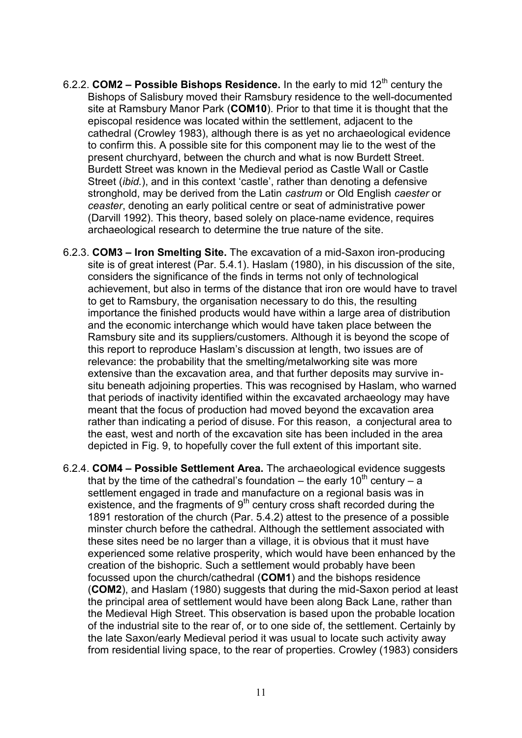- 6.2.2. **COM2 – Possible Bishops Residence.** In the early to mid 12th century the Bishops of Salisbury moved their Ramsbury residence to the well-documented site at Ramsbury Manor Park (**COM10**). Prior to that time it is thought that the episcopal residence was located within the settlement, adjacent to the cathedral (Crowley 1983), although there is as yet no archaeological evidence to confirm this. A possible site for this component may lie to the west of the present churchyard, between the church and what is now Burdett Street. Burdett Street was known in the Medieval period as Castle Wall or Castle Street (*ibid.*), and in this context 'castle', rather than denoting a defensive stronghold, may be derived from the Latin *castrum* or Old English *caester* or *ceaster*, denoting an early political centre or seat of administrative power (Darvill 1992). This theory, based solely on place-name evidence, requires archaeological research to determine the true nature of the site.
- 6.2.3. **COM3 – Iron Smelting Site.** The excavation of a mid-Saxon iron-producing site is of great interest (Par. 5.4.1). Haslam (1980), in his discussion of the site, considers the significance of the finds in terms not only of technological achievement, but also in terms of the distance that iron ore would have to travel to get to Ramsbury, the organisation necessary to do this, the resulting importance the finished products would have within a large area of distribution and the economic interchange which would have taken place between the Ramsbury site and its suppliers/customers. Although it is beyond the scope of this report to reproduce Haslam's discussion at length, two issues are of relevance: the probability that the smelting/metalworking site was more extensive than the excavation area, and that further deposits may survive insitu beneath adjoining properties. This was recognised by Haslam, who warned that periods of inactivity identified within the excavated archaeology may have meant that the focus of production had moved beyond the excavation area rather than indicating a period of disuse. For this reason, a conjectural area to the east, west and north of the excavation site has been included in the area depicted in Fig. 9, to hopefully cover the full extent of this important site.
- 6.2.4. **COM4 – Possible Settlement Area.** The archaeological evidence suggests that by the time of the cathedral's foundation – the early 10<sup>th</sup> century – a settlement engaged in trade and manufacture on a regional basis was in existence, and the fragments of  $9<sup>th</sup>$  century cross shaft recorded during the 1891 restoration of the church (Par. 5.4.2) attest to the presence of a possible minster church before the cathedral. Although the settlement associated with these sites need be no larger than a village, it is obvious that it must have experienced some relative prosperity, which would have been enhanced by the creation of the bishopric. Such a settlement would probably have been focussed upon the church/cathedral (**COM1**) and the bishops residence (**COM2**), and Haslam (1980) suggests that during the mid-Saxon period at least the principal area of settlement would have been along Back Lane, rather than the Medieval High Street. This observation is based upon the probable location of the industrial site to the rear of, or to one side of, the settlement. Certainly by the late Saxon/early Medieval period it was usual to locate such activity away from residential living space, to the rear of properties. Crowley (1983) considers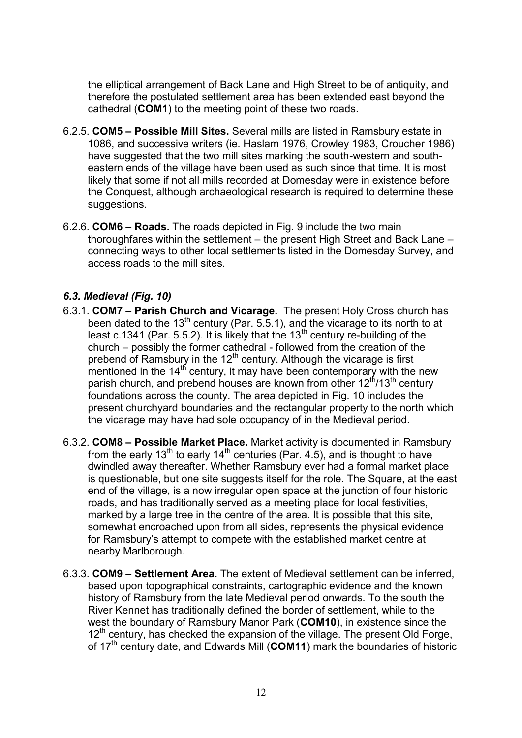the elliptical arrangement of Back Lane and High Street to be of antiquity, and therefore the postulated settlement area has been extended east beyond the cathedral (**COM1**) to the meeting point of these two roads.

- 6.2.5. **COM5 – Possible Mill Sites.** Several mills are listed in Ramsbury estate in 1086, and successive writers (ie. Haslam 1976, Crowley 1983, Croucher 1986) have suggested that the two mill sites marking the south-western and southeastern ends of the village have been used as such since that time. It is most likely that some if not all mills recorded at Domesday were in existence before the Conquest, although archaeological research is required to determine these suggestions.
- 6.2.6. **COM6 – Roads.** The roads depicted in Fig. 9 include the two main thoroughfares within the settlement – the present High Street and Back Lane – connecting ways to other local settlements listed in the Domesday Survey, and access roads to the mill sites.

# *6.3. Medieval (Fig. 10)*

- 6.3.1. **COM7 – Parish Church and Vicarage.** The present Holy Cross church has been dated to the 13<sup>th</sup> century (Par. 5.5.1), and the vicarage to its north to at least c.1341 (Par. 5.5.2). It is likely that the  $13<sup>th</sup>$  century re-building of the church – possibly the former cathedral - followed from the creation of the prebend of Ramsbury in the  $12<sup>th</sup>$  century. Although the vicarage is first mentioned in the  $14<sup>th</sup>$  century, it may have been contemporary with the new parish church, and prebend houses are known from other  $12<sup>th</sup>/13<sup>th</sup>$  century foundations across the county. The area depicted in Fig. 10 includes the present churchyard boundaries and the rectangular property to the north which the vicarage may have had sole occupancy of in the Medieval period.
- 6.3.2. **COM8 – Possible Market Place.** Market activity is documented in Ramsbury from the early 13<sup>th</sup> to early 14<sup>th</sup> centuries (Par. 4.5), and is thought to have dwindled away thereafter. Whether Ramsbury ever had a formal market place is questionable, but one site suggests itself for the role. The Square, at the east end of the village, is a now irregular open space at the junction of four historic roads, and has traditionally served as a meeting place for local festivities, marked by a large tree in the centre of the area. It is possible that this site, somewhat encroached upon from all sides, represents the physical evidence for Ramsbury's attempt to compete with the established market centre at nearby Marlborough.
- 6.3.3. **COM9 – Settlement Area.** The extent of Medieval settlement can be inferred, based upon topographical constraints, cartographic evidence and the known history of Ramsbury from the late Medieval period onwards. To the south the River Kennet has traditionally defined the border of settlement, while to the west the boundary of Ramsbury Manor Park (**COM10**), in existence since the  $12<sup>th</sup>$  century, has checked the expansion of the village. The present Old Forge, of 17th century date, and Edwards Mill (**COM11**) mark the boundaries of historic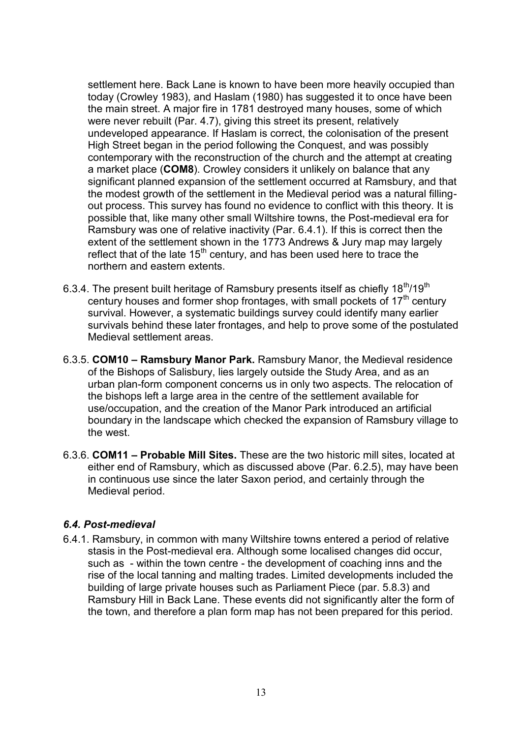settlement here. Back Lane is known to have been more heavily occupied than today (Crowley 1983), and Haslam (1980) has suggested it to once have been the main street. A major fire in 1781 destroyed many houses, some of which were never rebuilt (Par. 4.7), giving this street its present, relatively undeveloped appearance. If Haslam is correct, the colonisation of the present High Street began in the period following the Conquest, and was possibly contemporary with the reconstruction of the church and the attempt at creating a market place (**COM8**). Crowley considers it unlikely on balance that any significant planned expansion of the settlement occurred at Ramsbury, and that the modest growth of the settlement in the Medieval period was a natural fillingout process. This survey has found no evidence to conflict with this theory. It is possible that, like many other small Wiltshire towns, the Post-medieval era for Ramsbury was one of relative inactivity (Par. 6.4.1). If this is correct then the extent of the settlement shown in the 1773 Andrews & Jury map may largely reflect that of the late  $15<sup>th</sup>$  century, and has been used here to trace the northern and eastern extents.

- 6.3.4. The present built heritage of Ramsbury presents itself as chiefly  $18^{th}/19^{th}$ century houses and former shop frontages, with small pockets of  $17<sup>th</sup>$  century survival. However, a systematic buildings survey could identify many earlier survivals behind these later frontages, and help to prove some of the postulated Medieval settlement areas.
- 6.3.5. **COM10 – Ramsbury Manor Park.** Ramsbury Manor, the Medieval residence of the Bishops of Salisbury, lies largely outside the Study Area, and as an urban plan-form component concerns us in only two aspects. The relocation of the bishops left a large area in the centre of the settlement available for use/occupation, and the creation of the Manor Park introduced an artificial boundary in the landscape which checked the expansion of Ramsbury village to the west.
- 6.3.6. **COM11 – Probable Mill Sites.** These are the two historic mill sites, located at either end of Ramsbury, which as discussed above (Par. 6.2.5), may have been in continuous use since the later Saxon period, and certainly through the Medieval period.

#### *6.4. Post-medieval*

6.4.1. Ramsbury, in common with many Wiltshire towns entered a period of relative stasis in the Post-medieval era. Although some localised changes did occur, such as - within the town centre - the development of coaching inns and the rise of the local tanning and malting trades. Limited developments included the building of large private houses such as Parliament Piece (par. 5.8.3) and Ramsbury Hill in Back Lane. These events did not significantly alter the form of the town, and therefore a plan form map has not been prepared for this period.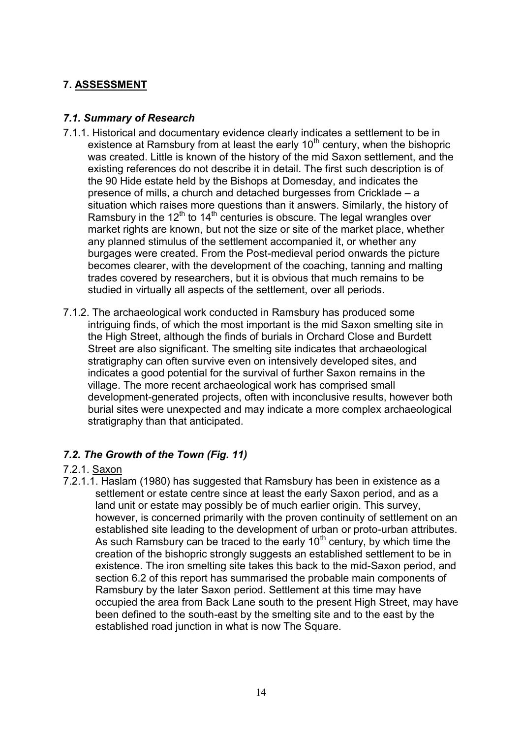# **7. ASSESSMENT**

# *7.1. Summary of Research*

- 7.1.1. Historical and documentary evidence clearly indicates a settlement to be in existence at Ramsbury from at least the early  $10<sup>th</sup>$  century, when the bishopric was created. Little is known of the history of the mid Saxon settlement, and the existing references do not describe it in detail. The first such description is of the 90 Hide estate held by the Bishops at Domesday, and indicates the presence of mills, a church and detached burgesses from Cricklade – a situation which raises more questions than it answers. Similarly, the history of Ramsbury in the 12<sup>th</sup> to 14<sup>th</sup> centuries is obscure. The legal wrangles over market rights are known, but not the size or site of the market place, whether any planned stimulus of the settlement accompanied it, or whether any burgages were created. From the Post-medieval period onwards the picture becomes clearer, with the development of the coaching, tanning and malting trades covered by researchers, but it is obvious that much remains to be studied in virtually all aspects of the settlement, over all periods.
- 7.1.2. The archaeological work conducted in Ramsbury has produced some intriguing finds, of which the most important is the mid Saxon smelting site in the High Street, although the finds of burials in Orchard Close and Burdett Street are also significant. The smelting site indicates that archaeological stratigraphy can often survive even on intensively developed sites, and indicates a good potential for the survival of further Saxon remains in the village. The more recent archaeological work has comprised small development-generated projects, often with inconclusive results, however both burial sites were unexpected and may indicate a more complex archaeological stratigraphy than that anticipated.

# *7.2. The Growth of the Town (Fig. 11)*

#### 7.2.1. Saxon

7.2.1.1. Haslam (1980) has suggested that Ramsbury has been in existence as a settlement or estate centre since at least the early Saxon period, and as a land unit or estate may possibly be of much earlier origin. This survey, however, is concerned primarily with the proven continuity of settlement on an established site leading to the development of urban or proto-urban attributes. As such Ramsbury can be traced to the early  $10<sup>th</sup>$  century, by which time the creation of the bishopric strongly suggests an established settlement to be in existence. The iron smelting site takes this back to the mid-Saxon period, and section 6.2 of this report has summarised the probable main components of Ramsbury by the later Saxon period. Settlement at this time may have occupied the area from Back Lane south to the present High Street, may have been defined to the south-east by the smelting site and to the east by the established road junction in what is now The Square.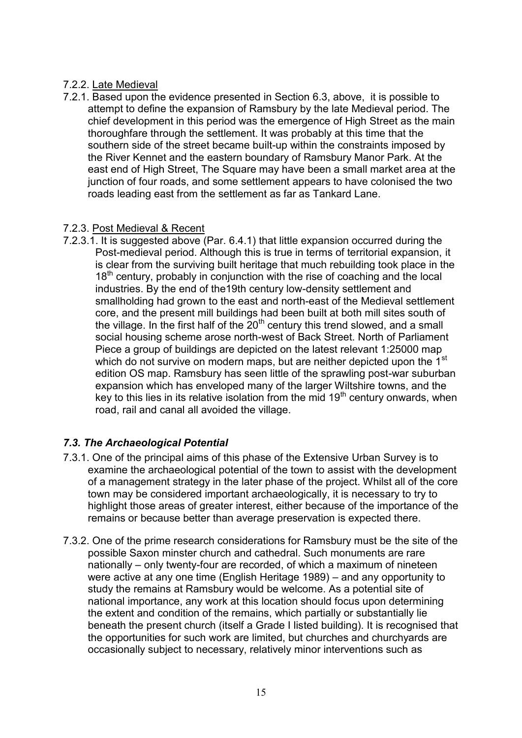#### 7.2.2. Late Medieval

7.2.1. Based upon the evidence presented in Section 6.3, above, it is possible to attempt to define the expansion of Ramsbury by the late Medieval period. The chief development in this period was the emergence of High Street as the main thoroughfare through the settlement. It was probably at this time that the southern side of the street became built-up within the constraints imposed by the River Kennet and the eastern boundary of Ramsbury Manor Park. At the east end of High Street, The Square may have been a small market area at the junction of four roads, and some settlement appears to have colonised the two roads leading east from the settlement as far as Tankard Lane.

#### 7.2.3. Post Medieval & Recent

7.2.3.1. It is suggested above (Par. 6.4.1) that little expansion occurred during the Post-medieval period. Although this is true in terms of territorial expansion, it is clear from the surviving built heritage that much rebuilding took place in the  $18<sup>th</sup>$  century, probably in conjunction with the rise of coaching and the local industries. By the end of the19th century low-density settlement and smallholding had grown to the east and north-east of the Medieval settlement core, and the present mill buildings had been built at both mill sites south of the village. In the first half of the  $20<sup>th</sup>$  century this trend slowed, and a small social housing scheme arose north-west of Back Street. North of Parliament Piece a group of buildings are depicted on the latest relevant 1:25000 map which do not survive on modern maps, but are neither depicted upon the 1<sup>st</sup> edition OS map. Ramsbury has seen little of the sprawling post-war suburban expansion which has enveloped many of the larger Wiltshire towns, and the key to this lies in its relative isolation from the mid  $19<sup>th</sup>$  century onwards, when road, rail and canal all avoided the village.

# *7.3. The Archaeological Potential*

- 7.3.1. One of the principal aims of this phase of the Extensive Urban Survey is to examine the archaeological potential of the town to assist with the development of a management strategy in the later phase of the project. Whilst all of the core town may be considered important archaeologically, it is necessary to try to highlight those areas of greater interest, either because of the importance of the remains or because better than average preservation is expected there.
- 7.3.2. One of the prime research considerations for Ramsbury must be the site of the possible Saxon minster church and cathedral. Such monuments are rare nationally – only twenty-four are recorded, of which a maximum of nineteen were active at any one time (English Heritage 1989) – and any opportunity to study the remains at Ramsbury would be welcome. As a potential site of national importance, any work at this location should focus upon determining the extent and condition of the remains, which partially or substantially lie beneath the present church (itself a Grade I listed building). It is recognised that the opportunities for such work are limited, but churches and churchyards are occasionally subject to necessary, relatively minor interventions such as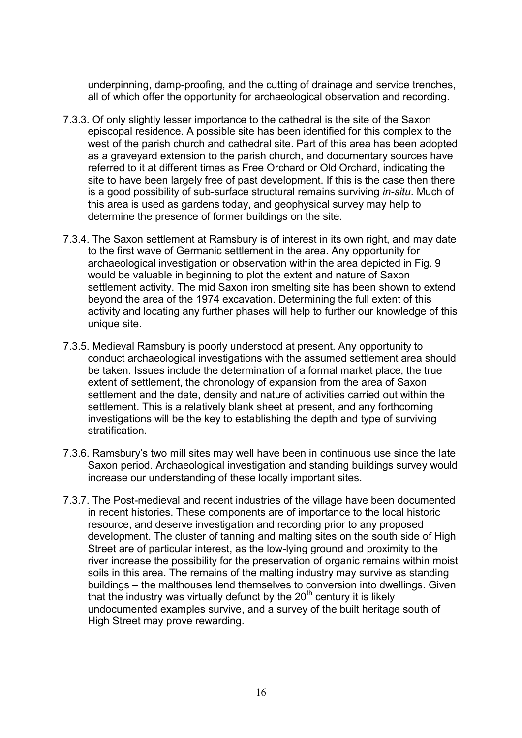underpinning, damp-proofing, and the cutting of drainage and service trenches, all of which offer the opportunity for archaeological observation and recording.

- 7.3.3. Of only slightly lesser importance to the cathedral is the site of the Saxon episcopal residence. A possible site has been identified for this complex to the west of the parish church and cathedral site. Part of this area has been adopted as a graveyard extension to the parish church, and documentary sources have referred to it at different times as Free Orchard or Old Orchard, indicating the site to have been largely free of past development. If this is the case then there is a good possibility of sub-surface structural remains surviving *in-situ*. Much of this area is used as gardens today, and geophysical survey may help to determine the presence of former buildings on the site.
- 7.3.4. The Saxon settlement at Ramsbury is of interest in its own right, and may date to the first wave of Germanic settlement in the area. Any opportunity for archaeological investigation or observation within the area depicted in Fig. 9 would be valuable in beginning to plot the extent and nature of Saxon settlement activity. The mid Saxon iron smelting site has been shown to extend beyond the area of the 1974 excavation. Determining the full extent of this activity and locating any further phases will help to further our knowledge of this unique site.
- 7.3.5. Medieval Ramsbury is poorly understood at present. Any opportunity to conduct archaeological investigations with the assumed settlement area should be taken. Issues include the determination of a formal market place, the true extent of settlement, the chronology of expansion from the area of Saxon settlement and the date, density and nature of activities carried out within the settlement. This is a relatively blank sheet at present, and any forthcoming investigations will be the key to establishing the depth and type of surviving stratification.
- 7.3.6. Ramsbury's two mill sites may well have been in continuous use since the late Saxon period. Archaeological investigation and standing buildings survey would increase our understanding of these locally important sites.
- 7.3.7. The Post-medieval and recent industries of the village have been documented in recent histories. These components are of importance to the local historic resource, and deserve investigation and recording prior to any proposed development. The cluster of tanning and malting sites on the south side of High Street are of particular interest, as the low-lying ground and proximity to the river increase the possibility for the preservation of organic remains within moist soils in this area. The remains of the malting industry may survive as standing buildings – the malthouses lend themselves to conversion into dwellings. Given that the industry was virtually defunct by the  $20<sup>th</sup>$  century it is likely undocumented examples survive, and a survey of the built heritage south of High Street may prove rewarding.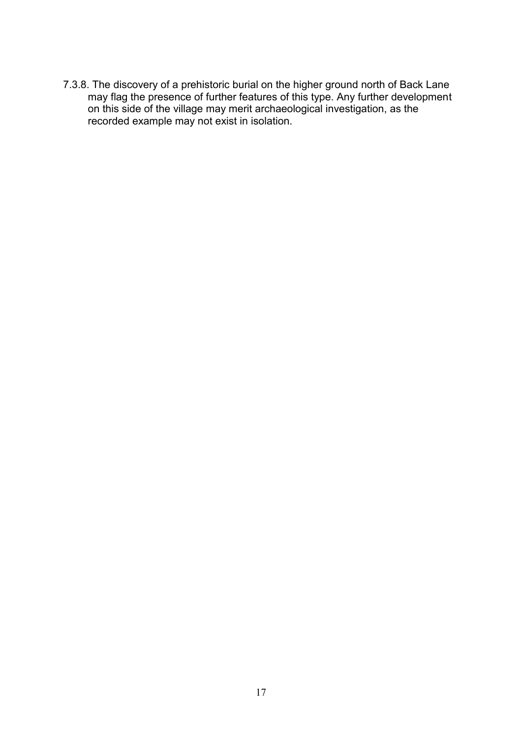7.3.8. The discovery of a prehistoric burial on the higher ground north of Back Lane may flag the presence of further features of this type. Any further development on this side of the village may merit archaeological investigation, as the recorded example may not exist in isolation.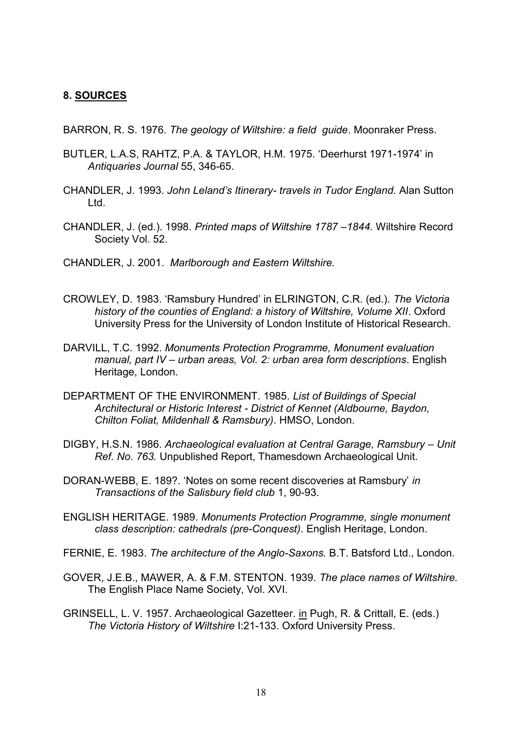#### **8. SOURCES**

BARRON, R. S. 1976. *The geology of Wiltshire: a field guide*. Moonraker Press.

- BUTLER, L.A.S, RAHTZ, P.A. & TAYLOR, H.M. 1975. 'Deerhurst 1971-1974' in *Antiquaries Journal* 55, 346-65.
- CHANDLER, J. 1993. *John Leland's Itinerary- travels in Tudor England.* Alan Sutton Ltd.
- CHANDLER, J. (ed.). 1998. *Printed maps of Wiltshire 1787 –1844.* Wiltshire Record Society Vol. 52.
- CHANDLER, J. 2001. *Marlborough and Eastern Wiltshire.*
- CROWLEY, D. 1983. 'Ramsbury Hundred' in ELRINGTON, C.R. (ed.). *The Victoria history of the counties of England: a history of Wiltshire, Volume XII*. Oxford University Press for the University of London Institute of Historical Research.
- DARVILL, T.C. 1992. *Monuments Protection Programme, Monument evaluation manual, part IV – urban areas, Vol. 2: urban area form descriptions*. English Heritage, London.
- DEPARTMENT OF THE ENVIRONMENT. 1985. *List of Buildings of Special Architectural or Historic Interest - District of Kennet (Aldbourne, Baydon, Chilton Foliat, Mildenhall & Ramsbury)*. HMSO, London.
- DIGBY, H.S.N. 1986. *Archaeological evaluation at Central Garage, Ramsbury Unit Ref. No. 763.* Unpublished Report, Thamesdown Archaeological Unit.
- DORAN-WEBB, E. 189?. 'Notes on some recent discoveries at Ramsbury' *in Transactions of the Salisbury field club* 1, 90-93.
- ENGLISH HERITAGE. 1989. *Monuments Protection Programme, single monument class description: cathedrals (pre-Conquest)*. English Heritage, London.
- FERNIE, E. 1983. *The architecture of the Anglo-Saxons.* B.T. Batsford Ltd., London.
- GOVER, J.E.B., MAWER, A. & F.M. STENTON. 1939. *The place names of Wiltshire.* The English Place Name Society, Vol. XVI.
- GRINSELL, L. V. 1957. Archaeological Gazetteer. in Pugh, R. & Crittall, E. (eds.) *The Victoria History of Wiltshire* I:21-133. Oxford University Press.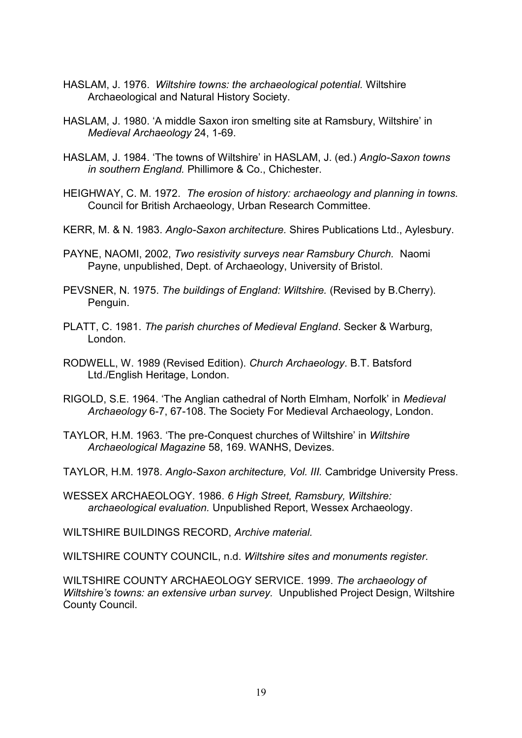- HASLAM, J. 1976. *Wiltshire towns: the archaeological potential.* Wiltshire Archaeological and Natural History Society.
- HASLAM, J. 1980. 'A middle Saxon iron smelting site at Ramsbury, Wiltshire' in *Medieval Archaeology* 24, 1-69.
- HASLAM, J. 1984. 'The towns of Wiltshire' in HASLAM, J. (ed.) *Anglo-Saxon towns in southern England.* Phillimore & Co., Chichester.
- HEIGHWAY, C. M. 1972. *The erosion of history: archaeology and planning in towns.* Council for British Archaeology, Urban Research Committee.
- KERR, M. & N. 1983. *Anglo-Saxon architecture.* Shires Publications Ltd., Aylesbury.
- PAYNE, NAOMI, 2002, *Two resistivity surveys near Ramsbury Church.* Naomi Payne, unpublished, Dept. of Archaeology, University of Bristol.
- PEVSNER, N. 1975. *The buildings of England: Wiltshire.* (Revised by B.Cherry). Penguin.
- PLATT, C. 1981. *The parish churches of Medieval England*. Secker & Warburg, London.
- RODWELL, W. 1989 (Revised Edition). *Church Archaeology*. B.T. Batsford Ltd./English Heritage, London.
- RIGOLD, S.E. 1964. 'The Anglian cathedral of North Elmham, Norfolk' in *Medieval Archaeology* 6-7, 67-108. The Society For Medieval Archaeology, London.
- TAYLOR, H.M. 1963. 'The pre-Conquest churches of Wiltshire' in *Wiltshire Archaeological Magazine* 58, 169. WANHS, Devizes.
- TAYLOR, H.M. 1978. *Anglo-Saxon architecture, Vol. III.* Cambridge University Press.
- WESSEX ARCHAEOLOGY. 1986. *6 High Street, Ramsbury, Wiltshire: archaeological evaluation.* Unpublished Report, Wessex Archaeology.

WILTSHIRE BUILDINGS RECORD, *Archive material.*

WILTSHIRE COUNTY COUNCIL, n.d. *Wiltshire sites and monuments register.*

WILTSHIRE COUNTY ARCHAEOLOGY SERVICE. 1999. *The archaeology of Wiltshire's towns: an extensive urban survey.* Unpublished Project Design, Wiltshire County Council.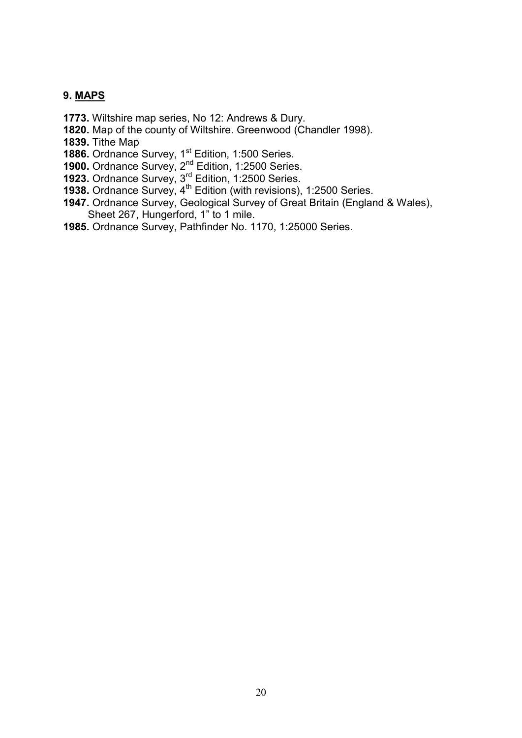#### **9. MAPS**

- **1773.** Wiltshire map series, No 12: Andrews & Dury.
- **1820.** Map of the county of Wiltshire. Greenwood (Chandler 1998).
- **1839.** Tithe Map
- **1886.** Ordnance Survey, 1<sup>st</sup> Edition, 1:500 Series.
- **1900.** Ordnance Survey, 2<sup>nd</sup> Edition, 1:2500 Series.
- **1923.** Ordnance Survey, 3<sup>rd</sup> Edition, 1:2500 Series.
- **1938.** Ordnance Survey, 4<sup>th</sup> Edition (with revisions), 1:2500 Series.
- **1947.** Ordnance Survey, Geological Survey of Great Britain (England & Wales), Sheet 267, Hungerford, 1" to 1 mile.
- **1985.** Ordnance Survey, Pathfinder No. 1170, 1:25000 Series.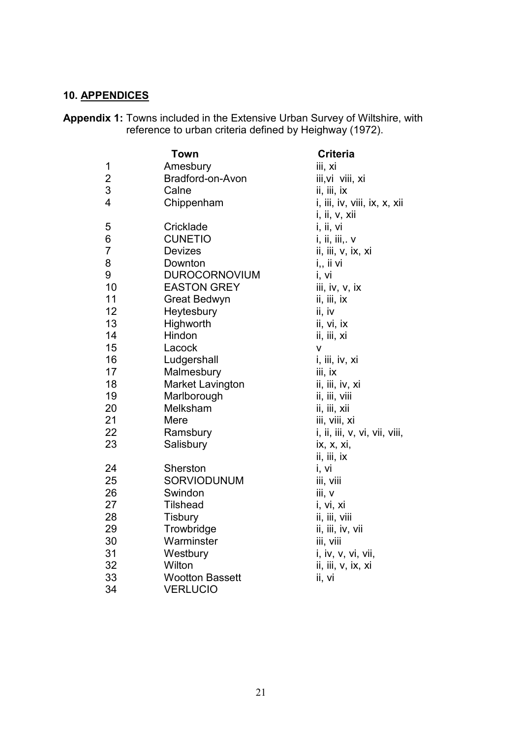# **10. APPENDICES**

**Appendix 1:** Towns included in the Extensive Urban Survey of Wiltshire, with reference to urban criteria defined by Heighway (1972).

|                | Town                    | <b>Criteria</b>               |
|----------------|-------------------------|-------------------------------|
| 1              | Amesbury                | iii, xi                       |
| $\overline{2}$ | Bradford-on-Avon        | iii, vi viii, xi              |
| 3              | Calne                   | ii, iii, ix                   |
| 4              | Chippenham              | i, iii, iv, viii, ix, x, xii  |
|                |                         | i, ii, v, xii                 |
| 5              | Cricklade               | i, ii, vi                     |
| 6              | <b>CUNETIO</b>          | i, ii, iii,. v                |
| $\overline{7}$ | <b>Devizes</b>          | ii, iii, v, ix, xi            |
| 8              | Downton                 | i,, ii vi                     |
| 9              | <b>DUROCORNOVIUM</b>    | i, vi                         |
| 10             | <b>EASTON GREY</b>      | iii, iv, v, ix                |
| 11             | Great Bedwyn            | ii, iii, ix                   |
| 12             | Heytesbury              | ii, iv                        |
| 13             | Highworth               | ii, vi, ix                    |
| 14             | Hindon                  | ii, iii, xi                   |
| 15             | Lacock                  | V                             |
| 16             | Ludgershall             | i, iii, iv, xi                |
| 17             | Malmesbury              | iii, ix                       |
| 18             | <b>Market Lavington</b> | ii, iii, iv, xi               |
| 19             | Marlborough             | ii, iii, viii                 |
| 20             | Melksham                | ii, iii, xii                  |
| 21             | Mere                    | iii, viii, xi                 |
| 22             | Ramsbury                | i, ii, iii, v, vi, vii, viii, |
| 23             | Salisbury               | ix, x, xi,                    |
|                |                         | ii, iii, ix                   |
| 24             | Sherston                | i, vi                         |
| 25             | SORVIODUNUM             | iii, viii                     |
| 26             | Swindon                 | iii, v                        |
| 27             | <b>Tilshead</b>         | i, vi, xi                     |
| 28             | <b>Tisbury</b>          | ii, iii, viii                 |
| 29             | Trowbridge              | ii, iii, iv, vii              |
| 30             | Warminster              | iii, viii                     |
| 31             | Westbury                | i, iv, v, vi, vii,            |
| 32             | Wilton                  | ii, iii, v, ix, xi            |
| 33             | <b>Wootton Bassett</b>  | ii, vi                        |
| 34             | <b>VERLUCIO</b>         |                               |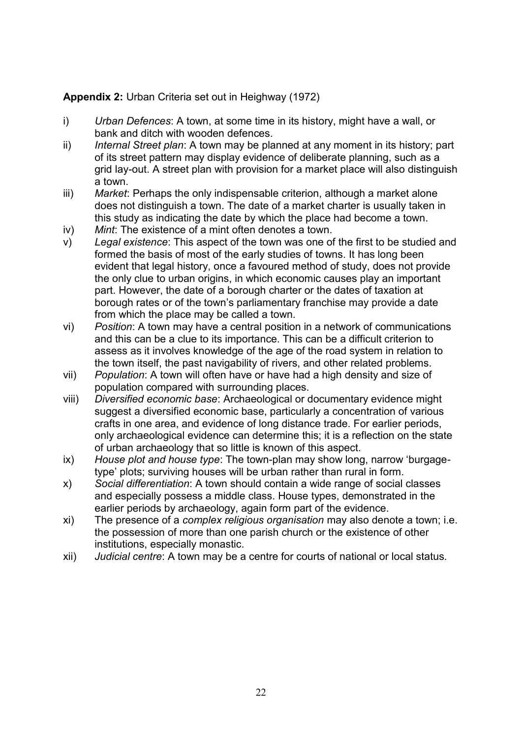# **Appendix 2:** Urban Criteria set out in Heighway (1972)

- i) *Urban Defences*: A town, at some time in its history, might have a wall, or bank and ditch with wooden defences.
- ii) *Internal Street plan*: A town may be planned at any moment in its history; part of its street pattern may display evidence of deliberate planning, such as a grid lay-out. A street plan with provision for a market place will also distinguish a town.
- iii) *Market*: Perhaps the only indispensable criterion, although a market alone does not distinguish a town. The date of a market charter is usually taken in this study as indicating the date by which the place had become a town.
- iv) *Mint*: The existence of a mint often denotes a town.
- v) *Legal existence*: This aspect of the town was one of the first to be studied and formed the basis of most of the early studies of towns. It has long been evident that legal history, once a favoured method of study, does not provide the only clue to urban origins, in which economic causes play an important part. However, the date of a borough charter or the dates of taxation at borough rates or of the town's parliamentary franchise may provide a date from which the place may be called a town.
- vi) *Position*: A town may have a central position in a network of communications and this can be a clue to its importance. This can be a difficult criterion to assess as it involves knowledge of the age of the road system in relation to the town itself, the past navigability of rivers, and other related problems.
- vii) *Population*: A town will often have or have had a high density and size of population compared with surrounding places.
- viii) *Diversified economic base*: Archaeological or documentary evidence might suggest a diversified economic base, particularly a concentration of various crafts in one area, and evidence of long distance trade. For earlier periods, only archaeological evidence can determine this; it is a reflection on the state of urban archaeology that so little is known of this aspect.
- ix) *House plot and house type*: The town-plan may show long, narrow 'burgagetype' plots; surviving houses will be urban rather than rural in form.
- x) *Social differentiation*: A town should contain a wide range of social classes and especially possess a middle class. House types, demonstrated in the earlier periods by archaeology, again form part of the evidence.
- xi) The presence of a *complex religious organisation* may also denote a town; i.e. the possession of more than one parish church or the existence of other institutions, especially monastic.
- xii) *Judicial centre*: A town may be a centre for courts of national or local status.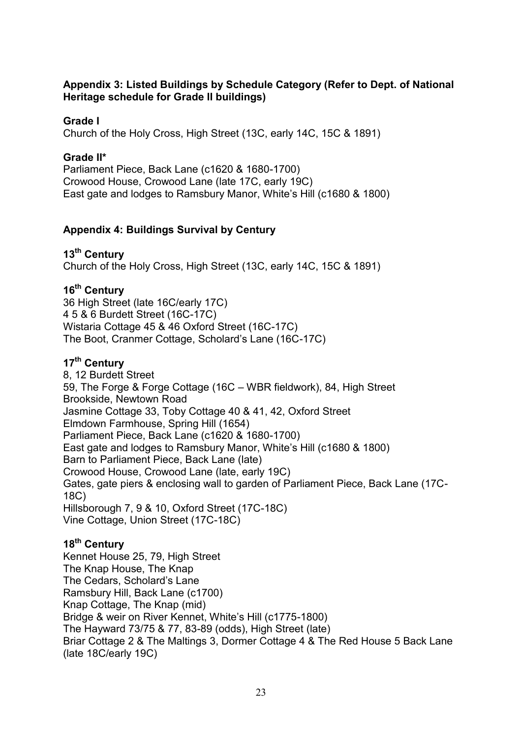#### **Appendix 3: Listed Buildings by Schedule Category (Refer to Dept. of National Heritage schedule for Grade II buildings)**

## **Grade I**

Church of the Holy Cross, High Street (13C, early 14C, 15C & 1891)

#### **Grade II\***

Parliament Piece, Back Lane (c1620 & 1680-1700) Crowood House, Crowood Lane (late 17C, early 19C) East gate and lodges to Ramsbury Manor, White's Hill (c1680 & 1800)

# **Appendix 4: Buildings Survival by Century**

**13th Century** Church of the Holy Cross, High Street (13C, early 14C, 15C & 1891)

# **16th Century**

36 High Street (late 16C/early 17C) 4 5 & 6 Burdett Street (16C-17C) Wistaria Cottage 45 & 46 Oxford Street (16C-17C) The Boot, Cranmer Cottage, Scholard's Lane (16C-17C)

# **17th Century**

8, 12 Burdett Street 59, The Forge & Forge Cottage (16C – WBR fieldwork), 84, High Street Brookside, Newtown Road Jasmine Cottage 33, Toby Cottage 40 & 41, 42, Oxford Street Elmdown Farmhouse, Spring Hill (1654) Parliament Piece, Back Lane (c1620 & 1680-1700) East gate and lodges to Ramsbury Manor, White's Hill (c1680 & 1800) Barn to Parliament Piece, Back Lane (late) Crowood House, Crowood Lane (late, early 19C) Gates, gate piers & enclosing wall to garden of Parliament Piece, Back Lane (17C-18C) Hillsborough 7, 9 & 10, Oxford Street (17C-18C) Vine Cottage, Union Street (17C-18C)

# **18th Century**

Kennet House 25, 79, High Street The Knap House, The Knap The Cedars, Scholard's Lane Ramsbury Hill, Back Lane (c1700) Knap Cottage, The Knap (mid) Bridge & weir on River Kennet, White's Hill (c1775-1800) The Hayward 73/75 & 77, 83-89 (odds), High Street (late) Briar Cottage 2 & The Maltings 3, Dormer Cottage 4 & The Red House 5 Back Lane (late 18C/early 19C)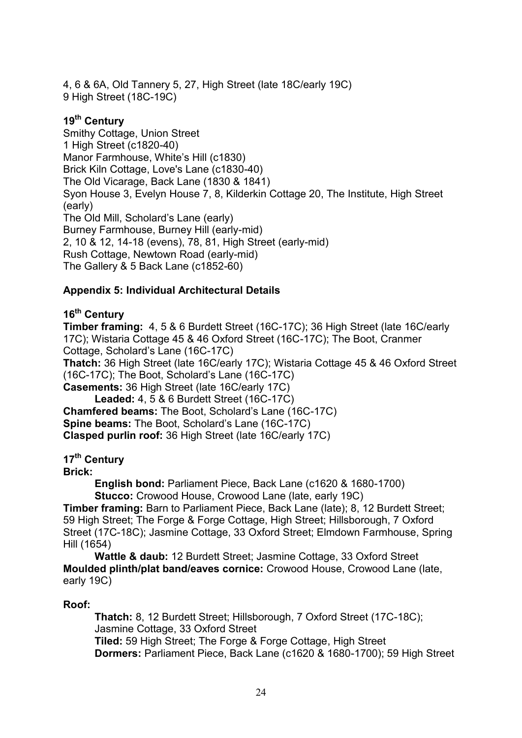4, 6 & 6A, Old Tannery 5, 27, High Street (late 18C/early 19C) 9 High Street (18C-19C)

# **19th Century**

Smithy Cottage, Union Street 1 High Street (c1820-40) Manor Farmhouse, White's Hill (c1830) Brick Kiln Cottage, Love's Lane (c1830-40) The Old Vicarage, Back Lane (1830 & 1841) Syon House 3, Evelyn House 7, 8, Kilderkin Cottage 20, The Institute, High Street (early) The Old Mill, Scholard's Lane (early) Burney Farmhouse, Burney Hill (early-mid) 2, 10 & 12, 14-18 (evens), 78, 81, High Street (early-mid) Rush Cottage, Newtown Road (early-mid) The Gallery & 5 Back Lane (c1852-60)

# **Appendix 5: Individual Architectural Details**

# **16th Century**

**Timber framing:** 4, 5 & 6 Burdett Street (16C-17C); 36 High Street (late 16C/early 17C); Wistaria Cottage 45 & 46 Oxford Street (16C-17C); The Boot, Cranmer Cottage, Scholard's Lane (16C-17C)

**Thatch:** 36 High Street (late 16C/early 17C); Wistaria Cottage 45 & 46 Oxford Street (16C-17C); The Boot, Scholard's Lane (16C-17C)

**Casements:** 36 High Street (late 16C/early 17C) **Leaded:** 4, 5 & 6 Burdett Street (16C-17C) **Chamfered beams:** The Boot, Scholard's Lane (16C-17C)

**Spine beams:** The Boot, Scholard's Lane (16C-17C) **Clasped purlin roof:** 36 High Street (late 16C/early 17C)

# **17th Century**

**Brick:**

**English bond:** Parliament Piece, Back Lane (c1620 & 1680-1700) **Stucco:** Crowood House, Crowood Lane (late, early 19C)

**Timber framing:** Barn to Parliament Piece, Back Lane (late); 8, 12 Burdett Street; 59 High Street; The Forge & Forge Cottage, High Street; Hillsborough, 7 Oxford Street (17C-18C); Jasmine Cottage, 33 Oxford Street; Elmdown Farmhouse, Spring Hill (1654)

**Wattle & daub:** 12 Burdett Street; Jasmine Cottage, 33 Oxford Street **Moulded plinth/plat band/eaves cornice:** Crowood House, Crowood Lane (late, early 19C)

# **Roof:**

**Thatch:** 8, 12 Burdett Street; Hillsborough, 7 Oxford Street (17C-18C); Jasmine Cottage, 33 Oxford Street **Tiled:** 59 High Street; The Forge & Forge Cottage, High Street **Dormers:** Parliament Piece, Back Lane (c1620 & 1680-1700); 59 High Street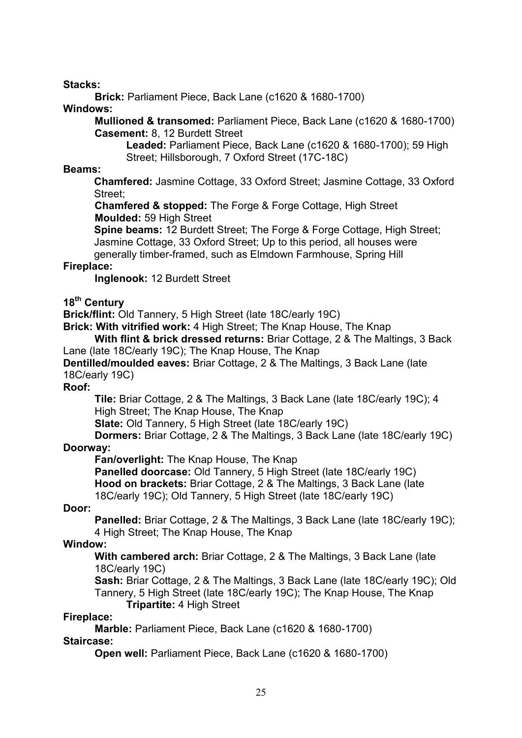#### **Stacks:**

**Brick:** Parliament Piece, Back Lane (c1620 & 1680-1700)

#### **Windows:**

**Mullioned & transomed:** Parliament Piece, Back Lane (c1620 & 1680-1700) **Casement:** 8, 12 Burdett Street

**Leaded:** Parliament Piece, Back Lane (c1620 & 1680-1700); 59 High Street; Hillsborough, 7 Oxford Street (17C-18C)

#### **Beams:**

**Chamfered:** Jasmine Cottage, 33 Oxford Street; Jasmine Cottage, 33 Oxford Street;

**Chamfered & stopped:** The Forge & Forge Cottage, High Street **Moulded:** 59 High Street

**Spine beams:** 12 Burdett Street; The Forge & Forge Cottage, High Street; Jasmine Cottage, 33 Oxford Street; Up to this period, all houses were generally timber-framed, such as Elmdown Farmhouse, Spring Hill

#### **Fireplace:**

**Inglenook:** 12 Burdett Street

#### **18th Century**

**Brick/flint:** Old Tannery, 5 High Street (late 18C/early 19C)

**Brick: With vitrified work:** 4 High Street; The Knap House, The Knap

**With flint & brick dressed returns:** Briar Cottage, 2 & The Maltings, 3 Back Lane (late 18C/early 19C); The Knap House, The Knap

**Dentilled/moulded eaves:** Briar Cottage, 2 & The Maltings, 3 Back Lane (late 18C/early 19C)

#### **Roof:**

**Tile:** Briar Cottage, 2 & The Maltings, 3 Back Lane (late 18C/early 19C); 4 High Street; The Knap House, The Knap

**Slate:** Old Tannery, 5 High Street (late 18C/early 19C)

**Dormers:** Briar Cottage, 2 & The Maltings, 3 Back Lane (late 18C/early 19C)

# **Doorway:**

**Fan/overlight:** The Knap House, The Knap

**Panelled doorcase:** Old Tannery, 5 High Street (late 18C/early 19C) **Hood on brackets:** Briar Cottage, 2 & The Maltings, 3 Back Lane (late 18C/early 19C); Old Tannery, 5 High Street (late 18C/early 19C)

# **Door:**

**Panelled:** Briar Cottage, 2 & The Maltings, 3 Back Lane (late 18C/early 19C); 4 High Street; The Knap House, The Knap

# **Window:**

**With cambered arch:** Briar Cottage, 2 & The Maltings, 3 Back Lane (late 18C/early 19C)

**Sash:** Briar Cottage, 2 & The Maltings, 3 Back Lane (late 18C/early 19C); Old Tannery, 5 High Street (late 18C/early 19C); The Knap House, The Knap **Tripartite:** 4 High Street

#### **Fireplace:**

**Marble:** Parliament Piece, Back Lane (c1620 & 1680-1700)

#### **Staircase:**

**Open well:** Parliament Piece, Back Lane (c1620 & 1680-1700)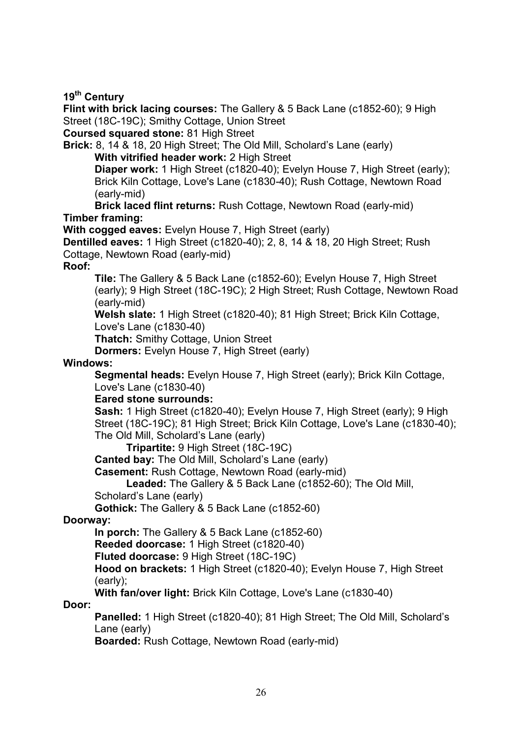#### **19th Century**

**Flint with brick lacing courses:** The Gallery & 5 Back Lane (c1852-60); 9 High Street (18C-19C); Smithy Cottage, Union Street

**Coursed squared stone:** 81 High Street

**Brick:** 8, 14 & 18, 20 High Street; The Old Mill, Scholard's Lane (early) **With vitrified header work:** 2 High Street

**Diaper work:** 1 High Street (c1820-40); Evelyn House 7, High Street (early); Brick Kiln Cottage, Love's Lane (c1830-40); Rush Cottage, Newtown Road (early-mid)

**Brick laced flint returns:** Rush Cottage, Newtown Road (early-mid) **Timber framing:**

**With cogged eaves:** Evelyn House 7, High Street (early)

**Dentilled eaves:** 1 High Street (c1820-40); 2, 8, 14 & 18, 20 High Street; Rush Cottage, Newtown Road (early-mid)

#### **Roof:**

**Tile:** The Gallery & 5 Back Lane (c1852-60); Evelyn House 7, High Street (early); 9 High Street (18C-19C); 2 High Street; Rush Cottage, Newtown Road (early-mid)

**Welsh slate:** 1 High Street (c1820-40); 81 High Street; Brick Kiln Cottage, Love's Lane (c1830-40)

**Thatch:** Smithy Cottage, Union Street

**Dormers:** Evelyn House 7, High Street (early)

#### **Windows:**

**Segmental heads:** Evelyn House 7, High Street (early); Brick Kiln Cottage, Love's Lane (c1830-40)

#### **Eared stone surrounds:**

**Sash:** 1 High Street (c1820-40); Evelyn House 7, High Street (early); 9 High Street (18C-19C); 81 High Street; Brick Kiln Cottage, Love's Lane (c1830-40); The Old Mill, Scholard's Lane (early)

**Tripartite:** 9 High Street (18C-19C)

**Canted bay:** The Old Mill, Scholard's Lane (early)

**Casement:** Rush Cottage, Newtown Road (early-mid)

**Leaded:** The Gallery & 5 Back Lane (c1852-60); The Old Mill,

Scholard's Lane (early)

**Gothick:** The Gallery & 5 Back Lane (c1852-60)

#### **Doorway:**

**In porch:** The Gallery & 5 Back Lane (c1852-60)

**Reeded doorcase:** 1 High Street (c1820-40)

**Fluted doorcase:** 9 High Street (18C-19C)

**Hood on brackets:** 1 High Street (c1820-40); Evelyn House 7, High Street (early);

**With fan/over light:** Brick Kiln Cottage, Love's Lane (c1830-40)

#### **Door:**

**Panelled:** 1 High Street (c1820-40); 81 High Street; The Old Mill, Scholard's Lane (early)

**Boarded:** Rush Cottage, Newtown Road (early-mid)